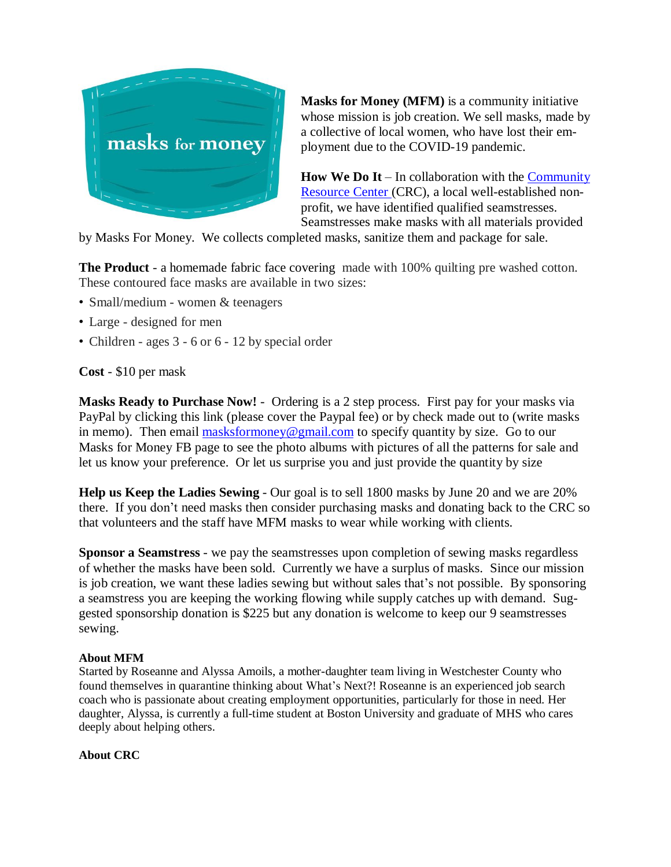

**Masks for Money (MFM)** is a community initiative whose mission is job creation. We sell masks, made by a collective of local women, who have lost their employment due to the COVID-19 pandemic.

**How We Do It** – In collaboration with the [Community](http://www.crcny.org/) [Resource](http://www.crcny.org/) Center (CRC), a local well-established nonprofit, we have identified qualified seamstresses. Seamstresses make masks with all materials provided

by Masks For Money. We collects completed masks, sanitize them and package for sale.

**The Product** - a homemade fabric face covering made with 100% quilting pre washed cotton. These contoured face masks are available in two sizes:

- Small/medium women & teenagers
- Large designed for men
- Children ages 3 6 or 6 12 by special order

**Cost** - \$10 per mask

**Masks Ready to Purchase Now!** - Ordering is a 2 step process. First pay for your masks via PayPal by clicking this link (please cover the Paypal fee) or by check made out to (write masks in memo). Then email  $\frac{\text{masksformoney}\textcircled{g}}{\text{pmail.com}}$  to specify quantity by size. Go to our Masks for Money FB page to see the photo albums with pictures of all the patterns for sale and let us know your preference. Or let us surprise you and just provide the quantity by size

**Help us Keep the Ladies Sewing** - Our goal is to sell 1800 masks by June 20 and we are 20% there. If you don't need masks then consider purchasing masks and donating back to the CRC so that volunteers and the staff have MFM masks to wear while working with clients.

**Sponsor a Seamstress** - we pay the seamstresses upon completion of sewing masks regardless of whether the masks have been sold. Currently we have a surplus of masks. Since our mission is job creation, we want these ladies sewing but without sales that's not possible. By sponsoring a seamstress you are keeping the working flowing while supply catches up with demand. Suggested sponsorship donation is \$225 but any donation is welcome to keep our 9 seamstresses sewing.

## **About MFM**

Started by Roseanne and Alyssa Amoils, a mother-daughter team living in Westchester County who found themselves in quarantine thinking about What's Next?! Roseanne is an experienced job search coach who is passionate about creating employment opportunities, particularly for those in need. Her daughter, Alyssa, is currently a full-time student at Boston University and graduate of MHS who cares deeply about helping others.

**About CRC**